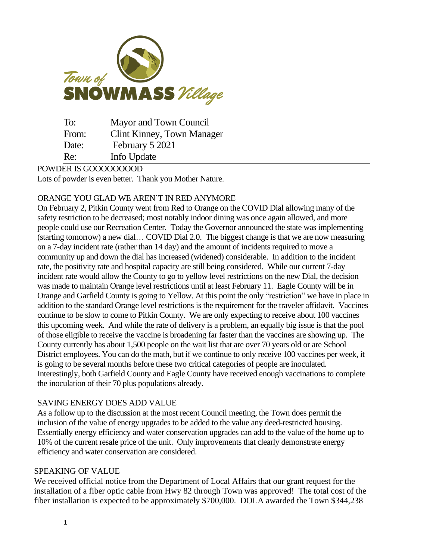

| To:   | Mayor and Town Council     |
|-------|----------------------------|
| From: | Clint Kinney, Town Manager |
| Date: | February 5 2021            |
| Re:   | Info Update                |

### POWDER IS GOOOOOOOOD

Lots of powder is even better. Thank you Mother Nature.

## ORANGE YOU GLAD WE AREN'T IN RED ANYMORE

On February 2, Pitkin County went from Red to Orange on the COVID Dial allowing many of the safety restriction to be decreased; most notably indoor dining was once again allowed, and more people could use our Recreation Center. Today the Governor announced the state was implementing (starting tomorrow) a new dial… COVID Dial 2.0. The biggest change is that we are now measuring on a 7-day incident rate (rather than 14 day) and the amount of incidents required to move a community up and down the dial has increased (widened) considerable. In addition to the incident rate, the positivity rate and hospital capacity are still being considered. While our current 7-day incident rate would allow the County to go to yellow level restrictions on the new Dial, the decision was made to maintain Orange level restrictions until at least February 11. Eagle County will be in Orange and Garfield County is going to Yellow. At this point the only "restriction" we have in place in addition to the standard Orange level restrictions is the requirement for the traveler affidavit. Vaccines continue to be slow to come to Pitkin County. We are only expecting to receive about 100 vaccines this upcoming week. And while the rate of delivery is a problem, an equally big issue is that the pool of those eligible to receive the vaccine is broadening far faster than the vaccines are showing up. The County currently has about 1,500 people on the wait list that are over 70 years old or are School District employees. You can do the math, but if we continue to only receive 100 vaccines per week, it is going to be several months before these two critical categories of people are inoculated. Interestingly, both Garfield County and Eagle County have received enough vaccinations to complete the inoculation of their 70 plus populations already.

## SAVING ENERGY DOES ADD VALUE

As a follow up to the discussion at the most recent Council meeting, the Town does permit the inclusion of the value of energy upgrades to be added to the value any deed-restricted housing. Essentially energy efficiency and water conservation upgrades can add to the value of the home up to 10% of the current resale price of the unit. Only improvements that clearly demonstrate energy efficiency and water conservation are considered.

#### SPEAKING OF VALUE

We received official notice from the Department of Local Affairs that our grant request for the installation of a fiber optic cable from Hwy 82 through Town was approved! The total cost of the fiber installation is expected to be approximately \$700,000. DOLA awarded the Town \$344,238